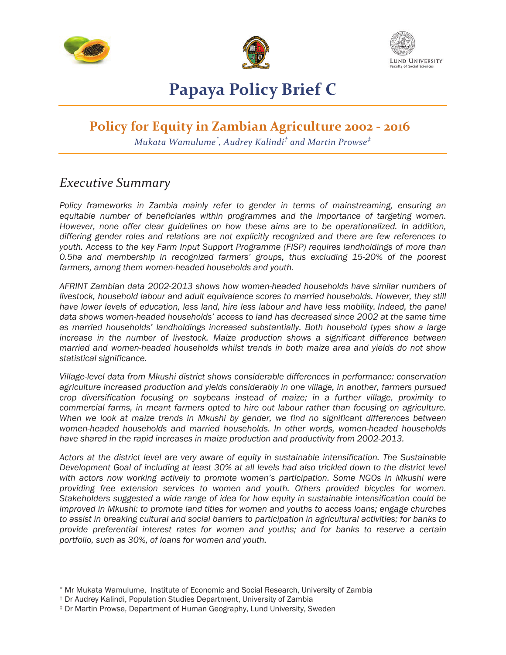





## **Papaya Policy Brief C**

## **Policy for Equity in Zambian Agriculture 2002 - 2016**

*Mukata Wamulume\* , Audrey Kalindi† and Martin Prowse‡*

### *Executive Summary*

*Policy frameworks in Zambia mainly refer to gender in terms of mainstreaming, ensuring an equitable number of beneficiaries within programmes and the importance of targeting women. However, none offer clear guidelines on how these aims are to be operationalized. In addition, differing gender roles and relations are not explicitly recognized and there are few references to youth. Access to the key Farm Input Support Programme (FISP) requires landholdings of more than 0.5ha and membership in recognized farmers' groups, thus excluding 15-20% of the poorest farmers, among them women-headed households and youth.*

*AFRINT Zambian data 2002-2013 shows how women-headed households have similar numbers of livestock, household labour and adult equivalence scores to married households. However, they still have lower levels of education, less land, hire less labour and have less mobility. Indeed, the panel data shows women-headed households' access to land has decreased since 2002 at the same time as married households' landholdings increased substantially. Both household types show a large increase in the number of livestock. Maize production shows a significant difference between married and women-headed households whilst trends in both maize area and yields do not show statistical significance.* 

*Village-level data from Mkushi district shows considerable differences in performance: conservation agriculture increased production and yields considerably in one village, in another, farmers pursued crop diversification focusing on soybeans instead of maize; in a further village, proximity to commercial farms, in meant farmers opted to hire out labour rather than focusing on agriculture. When we look at maize trends in Mkushi by gender, we find no significant differences between women-headed households and married households. In other words, women-headed households have shared in the rapid increases in maize production and productivity from 2002-2013.* 

*Actors at the district level are very aware of equity in sustainable intensification. The Sustainable Development Goal of including at least 30% at all levels had also trickled down to the district level with actors now working actively to promote women's participation. Some NGOs in Mkushi were providing free extension services to women and youth. Others provided bicycles for women. Stakeholders suggested a wide range of idea for how equity in sustainable intensification could be improved in Mkushi: to promote land titles for women and youths to access loans; engage churches to assist in breaking cultural and social barriers to participation in agricultural activities; for banks to provide preferential interest rates for women and youths; and for banks to reserve a certain portfolio, such as 30%, of loans for women and youth.* 

 $\overline{a}$ 

<sup>\*</sup> Mr Mukata Wamulume, Institute of Economic and Social Research, University of Zambia

<sup>†</sup> Dr Audrey Kalindi, Population Studies Department, University of Zambia

<sup>‡</sup> Dr Martin Prowse, Department of Human Geography, Lund University, Sweden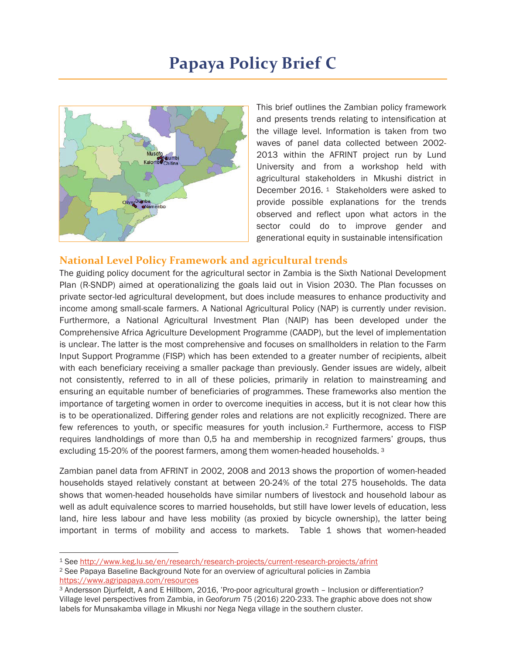# **Papaya Policy Brief C**



This brief outlines the Zambian policy framework and presents trends relating to intensification at the village level. Information is taken from two waves of panel data collected between 2002- 2013 within the AFRINT project run by Lund University and from a workshop held with agricultural stakeholders in Mkushi district in December 2016. <sup>1</sup> Stakeholders were asked to provide possible explanations for the trends observed and reflect upon what actors in the sector could do to improve gender and generational equity in sustainable intensification

#### **National Level Policy Framework and agricultural trends**

The guiding policy document for the agricultural sector in Zambia is the Sixth National Development Plan (R-SNDP) aimed at operationalizing the goals laid out in Vision 2030. The Plan focusses on private sector-led agricultural development, but does include measures to enhance productivity and income among small-scale farmers. A National Agricultural Policy (NAP) is currently under revision. Furthermore, a National Agricultural Investment Plan (NAIP) has been developed under the Comprehensive Africa Agriculture Development Programme (CAADP), but the level of implementation is unclear. The latter is the most comprehensive and focuses on smallholders in relation to the Farm Input Support Programme (FISP) which has been extended to a greater number of recipients, albeit with each beneficiary receiving a smaller package than previously. Gender issues are widely, albeit not consistently, referred to in all of these policies, primarily in relation to mainstreaming and ensuring an equitable number of beneficiaries of programmes. These frameworks also mention the importance of targeting women in order to overcome inequities in access, but it is not clear how this is to be operationalized. Differing gender roles and relations are not explicitly recognized. There are few references to youth, or specific measures for youth inclusion.2 Furthermore, access to FISP requires landholdings of more than 0,5 ha and membership in recognized farmers' groups, thus excluding 15-20% of the poorest farmers, among them women-headed households.<sup>3</sup>

Zambian panel data from AFRINT in 2002, 2008 and 2013 shows the proportion of women-headed households stayed relatively constant at between 20-24% of the total 275 households. The data shows that women-headed households have similar numbers of livestock and household labour as well as adult equivalence scores to married households, but still have lower levels of education, less land, hire less labour and have less mobility (as proxied by bicycle ownership), the latter being important in terms of mobility and access to markets. Table 1 shows that women-headed

-

<sup>1</sup> See http://www.keg.lu.se/en/research/research-projects/current-research-projects/afrint

<sup>2</sup> See Papaya Baseline Background Note for an overview of agricultural policies in Zambia https://www.agripapaya.com/resources

<sup>3</sup> Andersson Djurfeldt, A and E Hillbom, 2016, 'Pro-poor agricultural growth – Inclusion or differentiation? Village level perspectives from Zambia, in *Geoforum* 75 (2016) 220-233. The graphic above does not show labels for Munsakamba village in Mkushi nor Nega Nega village in the southern cluster.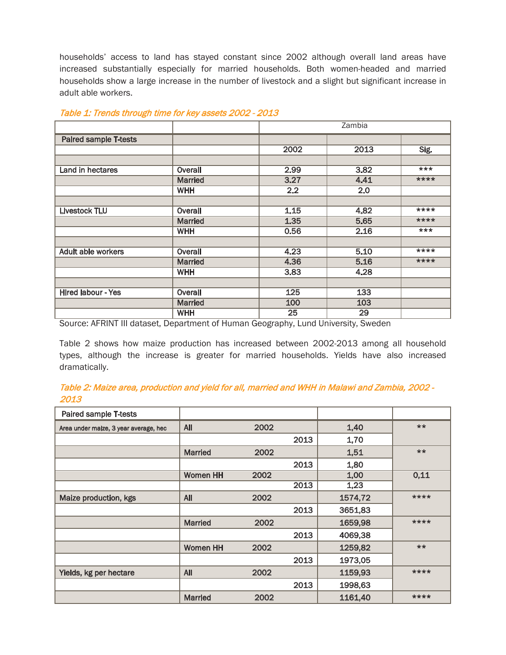households' access to land has stayed constant since 2002 although overall land areas have increased substantially especially for married households. Both women-headed and married households show a large increase in the number of livestock and a slight but significant increase in adult able workers.

|                              |                | Zambia |      |         |
|------------------------------|----------------|--------|------|---------|
| <b>Paired sample T-tests</b> |                |        |      |         |
|                              |                | 2002   | 2013 | Sig.    |
|                              |                |        |      |         |
| Land in hectares             | Overall        | 2.99   | 3.82 | $***$   |
|                              | <b>Married</b> | 3.27   | 4.41 | ****    |
|                              | <b>WHH</b>     | 2.2    | 2.0  |         |
|                              |                |        |      |         |
| <b>Livestock TLU</b>         | Overall        | 1.15   | 4.82 | ****    |
|                              | <b>Married</b> | 1.35   | 5.65 | $***$ * |
|                              | <b>WHH</b>     | 0.56   | 2.16 | $***$   |
|                              |                |        |      |         |
| <b>Adult able workers</b>    | <b>Overall</b> | 4.23   | 5.10 | $***$   |
|                              | <b>Married</b> | 4.36   | 5.16 | ****    |
|                              | <b>WHH</b>     | 3.83   | 4.28 |         |
|                              |                |        |      |         |
| <b>Hired labour - Yes</b>    | Overall        | 125    | 133  |         |
|                              | <b>Married</b> | 100    | 103  |         |
|                              | <b>WHH</b>     | 25     | 29   |         |

#### Table 1: Trends through time for key assets 2002 - 2013

Source: AFRINT III dataset, Department of Human Geography, Lund University, Sweden

Table 2 shows how maize production has increased between 2002-2013 among all household types, although the increase is greater for married households. Yields have also increased dramatically.

#### Table 2: Maize area, production and yield for all, married and WHH in Malawi and Zambia, 2002 - 2013

| Paired sample T-tests                 |                 |      |      |         |       |
|---------------------------------------|-----------------|------|------|---------|-------|
| Area under maize, 3 year average, hec | <b>All</b>      | 2002 |      | 1,40    | $***$ |
|                                       |                 |      | 2013 | 1,70    |       |
|                                       | <b>Married</b>  | 2002 |      | 1,51    | $***$ |
|                                       |                 |      | 2013 | 1,80    |       |
|                                       | <b>Women HH</b> | 2002 |      | 1,00    | 0,11  |
|                                       |                 |      | 2013 | 1,23    |       |
| Maize production, kgs                 | <b>All</b>      | 2002 |      | 1574,72 | ****  |
|                                       |                 |      | 2013 | 3651,83 |       |
|                                       | <b>Married</b>  | 2002 |      | 1659,98 | ****  |
|                                       |                 |      | 2013 | 4069,38 |       |
|                                       | <b>Women HH</b> | 2002 |      | 1259,82 | **    |
|                                       |                 |      | 2013 | 1973,05 |       |
| Yields, kg per hectare                | <b>All</b>      | 2002 |      | 1159,93 | ****  |
|                                       |                 |      | 2013 | 1998,63 |       |
|                                       | <b>Married</b>  | 2002 |      | 1161,40 | ****  |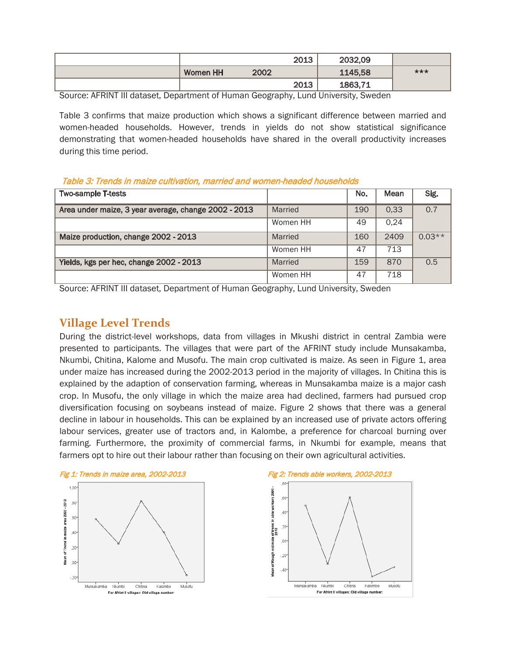|                 |      | 2013 | 2032,09 |     |
|-----------------|------|------|---------|-----|
| <b>Women HH</b> | 2002 |      | 1145,58 | *** |
|                 |      | 2013 | 1863,71 |     |

Source: AFRINT III dataset, Department of Human Geography, Lund University, Sweden

Table 3 confirms that maize production which shows a significant difference between married and women-headed households. However, trends in yields do not show statistical significance demonstrating that women-headed households have shared in the overall productivity increases during this time period.

Table 3: Trends in maize cultivation, married and women-headed households

| <b>Two-sample T-tests</b>                            |          | No. | Mean | Sig.     |
|------------------------------------------------------|----------|-----|------|----------|
| Area under maize, 3 year average, change 2002 - 2013 | Married  | 190 | 0,33 | 0.7      |
|                                                      | Women HH | 49  | 0.24 |          |
| Maize production, change 2002 - 2013                 | Married  | 160 | 2409 | $0.03**$ |
|                                                      | Women HH | 47  | 713  |          |
| Yields, kgs per hec, change 2002 - 2013              | Married  | 159 | 870  | 0.5      |
|                                                      | Women HH | 47  | 718  |          |

Source: AFRINT III dataset, Department of Human Geography, Lund University, Sweden

### **Village Level Trends**

During the district-level workshops, data from villages in Mkushi district in central Zambia were presented to participants. The villages that were part of the AFRINT study include Munsakamba, Nkumbi, Chitina, Kalome and Musofu. The main crop cultivated is maize. As seen in Figure 1, area under maize has increased during the 2002-2013 period in the majority of villages. In Chitina this is explained by the adaption of conservation farming, whereas in Munsakamba maize is a major cash crop. In Musofu, the only village in which the maize area had declined, farmers had pursued crop diversification focusing on soybeans instead of maize. Figure 2 shows that there was a general decline in labour in households. This can be explained by an increased use of private actors offering labour services, greater use of tractors and, in Kalombe, a preference for charcoal burning over farming. Furthermore, the proximity of commercial farms, in Nkumbi for example, means that farmers opt to hire out their labour rather than focusing on their own agricultural activities.



Chitina

For Afrint II villages: Old village number:

Kalombe

Musofu

 $\gamma$ 

Munsakamba Nkumbi



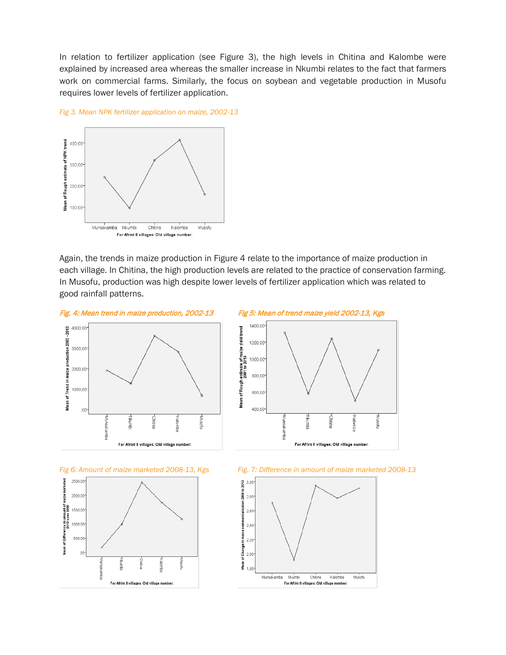In relation to fertilizer application (see Figure 3), the high levels in Chitina and Kalombe were explained by increased area whereas the smaller increase in Nkumbi relates to the fact that farmers work on commercial farms. Similarly, the focus on soybean and vegetable production in Musofu requires lower levels of fertilizer application.





Again, the trends in maize production in Figure 4 relate to the importance of maize production in each village. In Chitina, the high production levels are related to the practice of conservation farming. In Musofu, production was high despite lower levels of fertilizer application which was related to good rainfall patterns.







*Fig 6: Amount of maize marketed 2008-13, Kgs Fig. 7: Difference in amount of maize marketed 2008-13* 

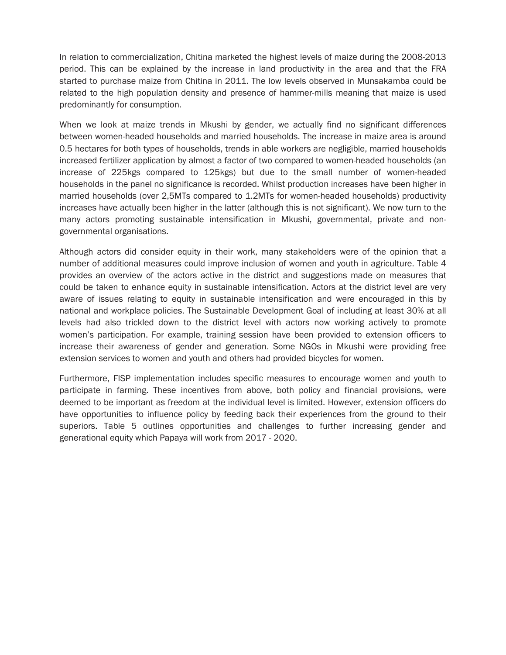In relation to commercialization, Chitina marketed the highest levels of maize during the 2008-2013 period. This can be explained by the increase in land productivity in the area and that the FRA started to purchase maize from Chitina in 2011. The low levels observed in Munsakamba could be related to the high population density and presence of hammer-mills meaning that maize is used predominantly for consumption.

When we look at maize trends in Mkushi by gender, we actually find no significant differences between women-headed households and married households. The increase in maize area is around 0.5 hectares for both types of households, trends in able workers are negligible, married households increased fertilizer application by almost a factor of two compared to women-headed households (an increase of 225kgs compared to 125kgs) but due to the small number of women-headed households in the panel no significance is recorded. Whilst production increases have been higher in married households (over 2,5MTs compared to 1.2MTs for women-headed households) productivity increases have actually been higher in the latter (although this is not significant). We now turn to the many actors promoting sustainable intensification in Mkushi, governmental, private and nongovernmental organisations.

Although actors did consider equity in their work, many stakeholders were of the opinion that a number of additional measures could improve inclusion of women and youth in agriculture. Table 4 provides an overview of the actors active in the district and suggestions made on measures that could be taken to enhance equity in sustainable intensification. Actors at the district level are very aware of issues relating to equity in sustainable intensification and were encouraged in this by national and workplace policies. The Sustainable Development Goal of including at least 30% at all levels had also trickled down to the district level with actors now working actively to promote women's participation. For example, training session have been provided to extension officers to increase their awareness of gender and generation. Some NGOs in Mkushi were providing free extension services to women and youth and others had provided bicycles for women.

Furthermore, FISP implementation includes specific measures to encourage women and youth to participate in farming. These incentives from above, both policy and financial provisions, were deemed to be important as freedom at the individual level is limited. However, extension officers do have opportunities to influence policy by feeding back their experiences from the ground to their superiors. Table 5 outlines opportunities and challenges to further increasing gender and generational equity which Papaya will work from 2017 - 2020.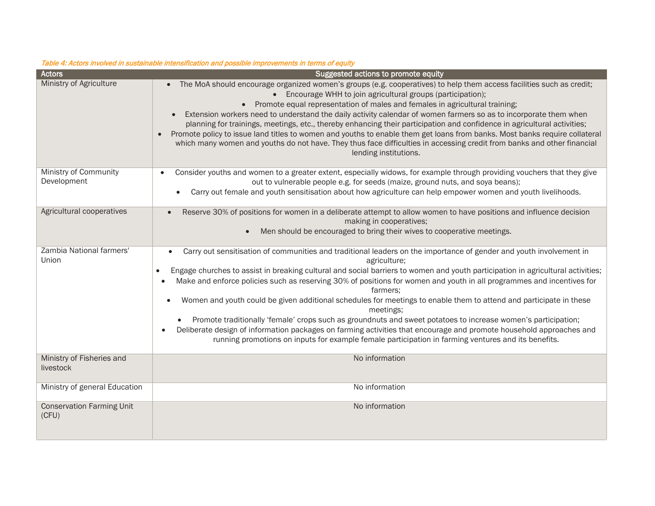| <b>Actors</b>                             | Suggested actions to promote equity                                                                                                                                                                                                                                                                                                                                                                                                                                                                                                                                                                                                                                                                                                                                                                                                                                                                                                               |
|-------------------------------------------|---------------------------------------------------------------------------------------------------------------------------------------------------------------------------------------------------------------------------------------------------------------------------------------------------------------------------------------------------------------------------------------------------------------------------------------------------------------------------------------------------------------------------------------------------------------------------------------------------------------------------------------------------------------------------------------------------------------------------------------------------------------------------------------------------------------------------------------------------------------------------------------------------------------------------------------------------|
| Ministry of Agriculture                   | The MoA should encourage organized women's groups (e.g. cooperatives) to help them access facilities such as credit;<br>• Encourage WHH to join agricultural groups (participation);<br>• Promote equal representation of males and females in agricultural training;<br>Extension workers need to understand the daily activity calendar of women farmers so as to incorporate them when<br>planning for trainings, meetings, etc., thereby enhancing their participation and confidence in agricultural activities;<br>Promote policy to issue land titles to women and youths to enable them get loans from banks. Most banks require collateral<br>$\bullet$<br>which many women and youths do not have. They thus face difficulties in accessing credit from banks and other financial<br>lending institutions.                                                                                                                              |
| Ministry of Community<br>Development      | Consider youths and women to a greater extent, especially widows, for example through providing vouchers that they give<br>out to vulnerable people e.g. for seeds (maize, ground nuts, and soya beans);<br>Carry out female and youth sensitisation about how agriculture can help empower women and youth livelihoods.                                                                                                                                                                                                                                                                                                                                                                                                                                                                                                                                                                                                                          |
| Agricultural cooperatives                 | Reserve 30% of positions for women in a deliberate attempt to allow women to have positions and influence decision<br>$\bullet$<br>making in cooperatives;<br>Men should be encouraged to bring their wives to cooperative meetings.<br>$\bullet$                                                                                                                                                                                                                                                                                                                                                                                                                                                                                                                                                                                                                                                                                                 |
| Zambia National farmers'<br>Union         | Carry out sensitisation of communities and traditional leaders on the importance of gender and youth involvement in<br>$\bullet$<br>agriculture;<br>Engage churches to assist in breaking cultural and social barriers to women and youth participation in agricultural activities;<br>$\bullet$<br>Make and enforce policies such as reserving 30% of positions for women and youth in all programmes and incentives for<br>$\bullet$<br>farmers:<br>Women and youth could be given additional schedules for meetings to enable them to attend and participate in these<br>meetings:<br>Promote traditionally 'female' crops such as groundnuts and sweet potatoes to increase women's participation;<br>Deliberate design of information packages on farming activities that encourage and promote household approaches and<br>$\bullet$<br>running promotions on inputs for example female participation in farming ventures and its benefits. |
| Ministry of Fisheries and<br>livestock    | No information                                                                                                                                                                                                                                                                                                                                                                                                                                                                                                                                                                                                                                                                                                                                                                                                                                                                                                                                    |
| Ministry of general Education             | No information                                                                                                                                                                                                                                                                                                                                                                                                                                                                                                                                                                                                                                                                                                                                                                                                                                                                                                                                    |
| <b>Conservation Farming Unit</b><br>(CFU) | No information                                                                                                                                                                                                                                                                                                                                                                                                                                                                                                                                                                                                                                                                                                                                                                                                                                                                                                                                    |

#### Table 4: Actors involved in sustainable intensification and possible improvements in terms of equity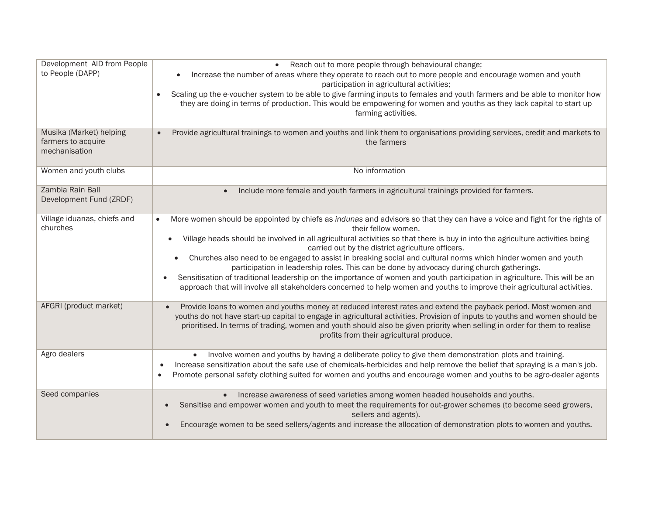| Development AID from People<br>to People (DAPP)<br>Musika (Market) helping | Reach out to more people through behavioural change;<br>$\bullet$<br>Increase the number of areas where they operate to reach out to more people and encourage women and youth<br>participation in agricultural activities;<br>Scaling up the e-voucher system to be able to give farming inputs to females and youth farmers and be able to monitor how<br>they are doing in terms of production. This would be empowering for women and youths as they lack capital to start up<br>farming activities.<br>Provide agricultural trainings to women and youths and link them to organisations providing services, credit and markets to                                                                                                                                                                                      |
|----------------------------------------------------------------------------|------------------------------------------------------------------------------------------------------------------------------------------------------------------------------------------------------------------------------------------------------------------------------------------------------------------------------------------------------------------------------------------------------------------------------------------------------------------------------------------------------------------------------------------------------------------------------------------------------------------------------------------------------------------------------------------------------------------------------------------------------------------------------------------------------------------------------|
| farmers to acquire<br>mechanisation                                        | the farmers                                                                                                                                                                                                                                                                                                                                                                                                                                                                                                                                                                                                                                                                                                                                                                                                                  |
| Women and youth clubs                                                      | No information                                                                                                                                                                                                                                                                                                                                                                                                                                                                                                                                                                                                                                                                                                                                                                                                               |
| Zambia Rain Ball<br>Development Fund (ZRDF)                                | Include more female and youth farmers in agricultural trainings provided for farmers.                                                                                                                                                                                                                                                                                                                                                                                                                                                                                                                                                                                                                                                                                                                                        |
| Village iduanas, chiefs and<br>churches                                    | More women should be appointed by chiefs as indunas and advisors so that they can have a voice and fight for the rights of<br>their fellow women.<br>Village heads should be involved in all agricultural activities so that there is buy in into the agriculture activities being<br>$\bullet$<br>carried out by the district agriculture officers.<br>Churches also need to be engaged to assist in breaking social and cultural norms which hinder women and youth<br>participation in leadership roles. This can be done by advocacy during church gatherings.<br>Sensitisation of traditional leadership on the importance of women and youth participation in agriculture. This will be an<br>approach that will involve all stakeholders concerned to help women and youths to improve their agricultural activities. |
| AFGRI (product market)                                                     | Provide loans to women and youths money at reduced interest rates and extend the payback period. Most women and<br>youths do not have start-up capital to engage in agricultural activities. Provision of inputs to youths and women should be<br>prioritised. In terms of trading, women and youth should also be given priority when selling in order for them to realise<br>profits from their agricultural produce.                                                                                                                                                                                                                                                                                                                                                                                                      |
| Agro dealers                                                               | Involve women and youths by having a deliberate policy to give them demonstration plots and training.<br>Increase sensitization about the safe use of chemicals-herbicides and help remove the belief that spraying is a man's job.<br>Promote personal safety clothing suited for women and youths and encourage women and youths to be agro-dealer agents<br>$\bullet$                                                                                                                                                                                                                                                                                                                                                                                                                                                     |
| Seed companies                                                             | Increase awareness of seed varieties among women headed households and youths.<br>Sensitise and empower women and youth to meet the requirements for out-grower schemes (to become seed growers,<br>sellers and agents).<br>Encourage women to be seed sellers/agents and increase the allocation of demonstration plots to women and youths.                                                                                                                                                                                                                                                                                                                                                                                                                                                                                |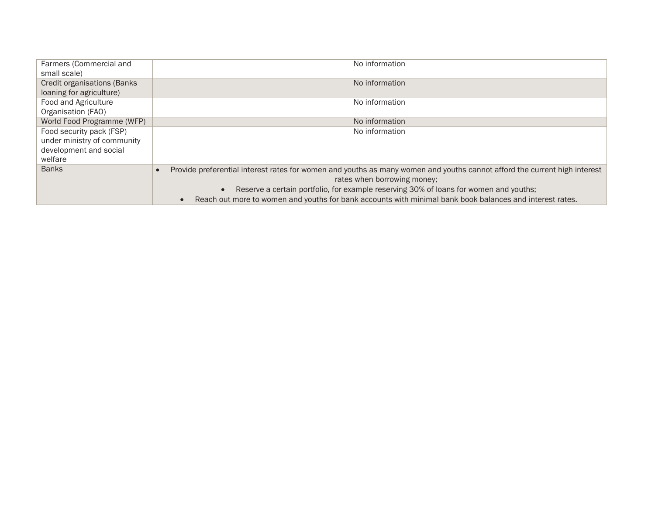| Farmers (Commercial and             | No information                                                                                                            |
|-------------------------------------|---------------------------------------------------------------------------------------------------------------------------|
| small scale)                        |                                                                                                                           |
| <b>Credit organisations (Banks)</b> | No information                                                                                                            |
| loaning for agriculture)            |                                                                                                                           |
| Food and Agriculture                | No information                                                                                                            |
| Organisation (FAO)                  |                                                                                                                           |
| World Food Programme (WFP)          | No information                                                                                                            |
| Food security pack (FSP)            | No information                                                                                                            |
| under ministry of community         |                                                                                                                           |
| development and social              |                                                                                                                           |
| welfare                             |                                                                                                                           |
| <b>Banks</b>                        | Provide preferential interest rates for women and youths as many women and youths cannot afford the current high interest |
|                                     | rates when borrowing money;                                                                                               |
|                                     | Reserve a certain portfolio, for example reserving 30% of loans for women and youths;<br>$\bullet$                        |
|                                     | Reach out more to women and youths for bank accounts with minimal bank book balances and interest rates.                  |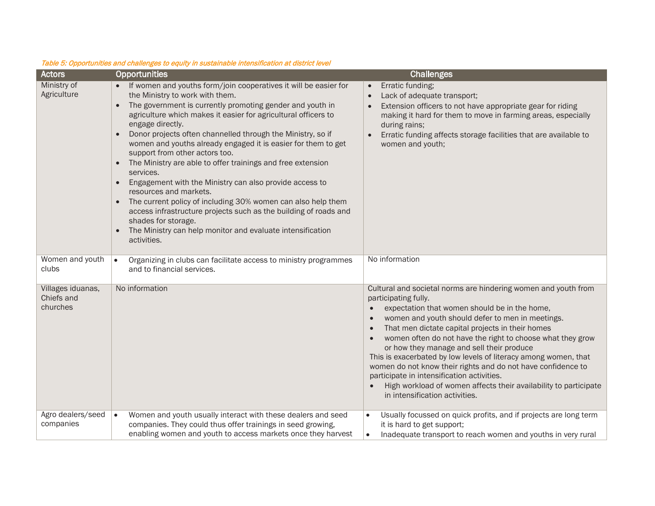| <b>Actors</b>                               | Opportunities                                                                                                                                                                                                                                                                                                                                                                                                                                                                                                                                                                                                                                                                                                                                                                                                                                                                                        | <b>Challenges</b>                                                                                                                                                                                                                                                                                                                                                                                                                                                                                                                                                                                                                                 |
|---------------------------------------------|------------------------------------------------------------------------------------------------------------------------------------------------------------------------------------------------------------------------------------------------------------------------------------------------------------------------------------------------------------------------------------------------------------------------------------------------------------------------------------------------------------------------------------------------------------------------------------------------------------------------------------------------------------------------------------------------------------------------------------------------------------------------------------------------------------------------------------------------------------------------------------------------------|---------------------------------------------------------------------------------------------------------------------------------------------------------------------------------------------------------------------------------------------------------------------------------------------------------------------------------------------------------------------------------------------------------------------------------------------------------------------------------------------------------------------------------------------------------------------------------------------------------------------------------------------------|
| Ministry of<br>Agriculture                  | • If women and youths form/join cooperatives it will be easier for<br>the Ministry to work with them.<br>The government is currently promoting gender and youth in<br>$\bullet$<br>agriculture which makes it easier for agricultural officers to<br>engage directly.<br>Donor projects often channelled through the Ministry, so if<br>$\bullet$<br>women and youths already engaged it is easier for them to get<br>support from other actors too.<br>The Ministry are able to offer trainings and free extension<br>$\bullet$<br>services.<br>Engagement with the Ministry can also provide access to<br>$\bullet$<br>resources and markets.<br>The current policy of including 30% women can also help them<br>$\bullet$<br>access infrastructure projects such as the building of roads and<br>shades for storage.<br>The Ministry can help monitor and evaluate intensification<br>activities. | Erratic funding;<br>$\bullet$<br>Lack of adequate transport;<br>$\bullet$<br>Extension officers to not have appropriate gear for riding<br>making it hard for them to move in farming areas, especially<br>during rains;<br>Erratic funding affects storage facilities that are available to<br>women and youth;                                                                                                                                                                                                                                                                                                                                  |
| Women and youth<br>clubs                    | $\bullet$<br>Organizing in clubs can facilitate access to ministry programmes<br>and to financial services.                                                                                                                                                                                                                                                                                                                                                                                                                                                                                                                                                                                                                                                                                                                                                                                          | No information                                                                                                                                                                                                                                                                                                                                                                                                                                                                                                                                                                                                                                    |
| Villages iduanas,<br>Chiefs and<br>churches | No information                                                                                                                                                                                                                                                                                                                                                                                                                                                                                                                                                                                                                                                                                                                                                                                                                                                                                       | Cultural and societal norms are hindering women and youth from<br>participating fully.<br>expectation that women should be in the home,<br>women and youth should defer to men in meetings.<br>That men dictate capital projects in their homes<br>women often do not have the right to choose what they grow<br>or how they manage and sell their produce<br>This is exacerbated by low levels of literacy among women, that<br>women do not know their rights and do not have confidence to<br>participate in intensification activities.<br>High workload of women affects their availability to participate<br>in intensification activities. |
| Agro dealers/seed<br>companies              | Women and youth usually interact with these dealers and seed<br>$\bullet$<br>companies. They could thus offer trainings in seed growing,<br>enabling women and youth to access markets once they harvest                                                                                                                                                                                                                                                                                                                                                                                                                                                                                                                                                                                                                                                                                             | Usually focussed on quick profits, and if projects are long term<br>$\bullet$<br>it is hard to get support;<br>Inadequate transport to reach women and youths in very rural<br>$\bullet$                                                                                                                                                                                                                                                                                                                                                                                                                                                          |

#### Table 5: Opportunities and challenges to equity in sustainable intensification at district level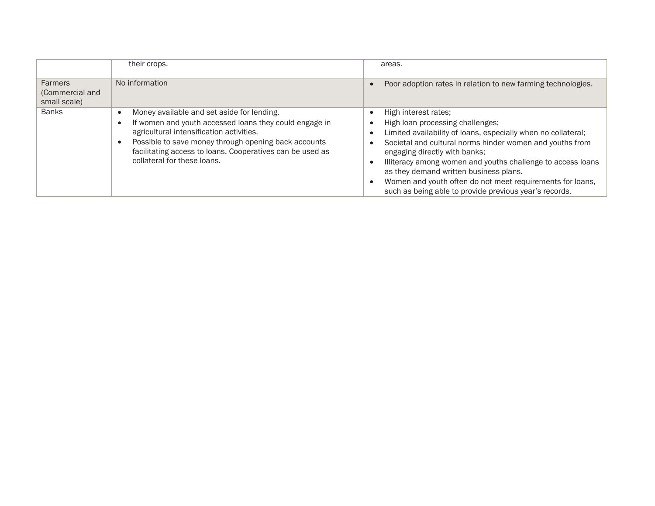|                                                   | their crops.                                                                                                                                                                                                                                                                                         | areas.                                                                                                                                                                                                                                                                                                                                                                                                                                                 |
|---------------------------------------------------|------------------------------------------------------------------------------------------------------------------------------------------------------------------------------------------------------------------------------------------------------------------------------------------------------|--------------------------------------------------------------------------------------------------------------------------------------------------------------------------------------------------------------------------------------------------------------------------------------------------------------------------------------------------------------------------------------------------------------------------------------------------------|
| <b>Farmers</b><br>(Commercial and<br>small scale) | No information                                                                                                                                                                                                                                                                                       | Poor adoption rates in relation to new farming technologies.                                                                                                                                                                                                                                                                                                                                                                                           |
| <b>Banks</b>                                      | Money available and set aside for lending.<br>If women and youth accessed loans they could engage in<br>agricultural intensification activities.<br>Possible to save money through opening back accounts<br>facilitating access to loans. Cooperatives can be used as<br>collateral for these loans. | High interest rates:<br>High loan processing challenges;<br>Limited availability of loans, especially when no collateral;<br>Societal and cultural norms hinder women and youths from<br>engaging directly with banks;<br>Illiteracy among women and youths challenge to access loans<br>as they demand written business plans.<br>Women and youth often do not meet requirements for loans,<br>such as being able to provide previous year's records. |